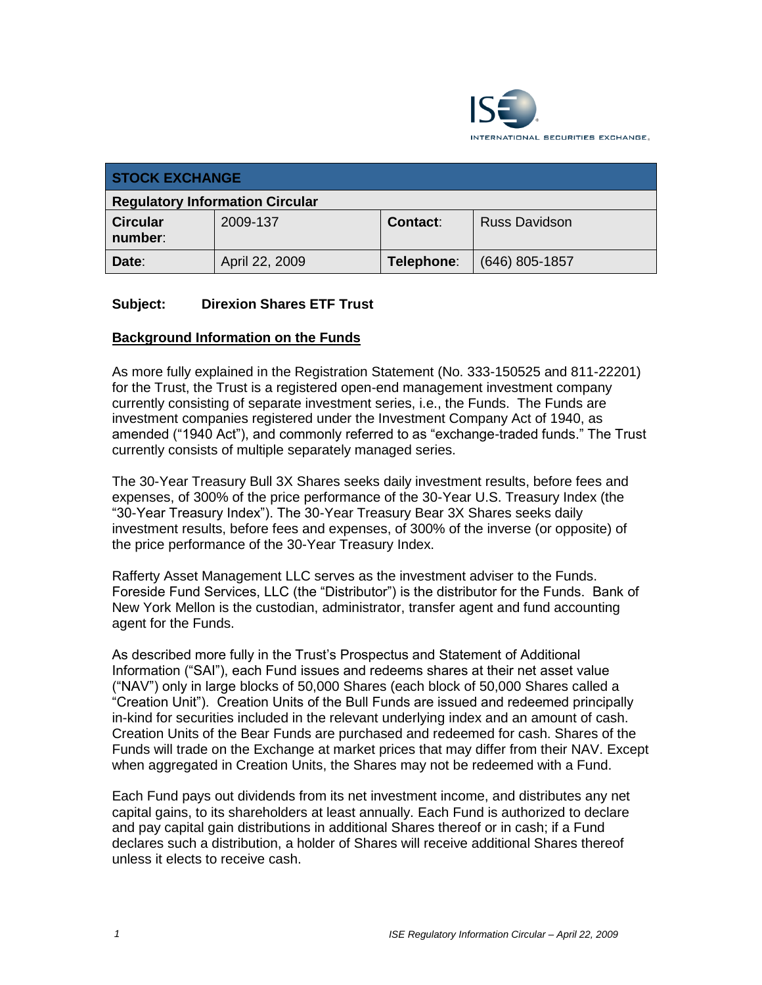

| <b>STOCK EXCHANGE</b>                  |                |                 |                      |
|----------------------------------------|----------------|-----------------|----------------------|
| <b>Regulatory Information Circular</b> |                |                 |                      |
| <b>Circular</b><br>number:             | 2009-137       | <b>Contact:</b> | <b>Russ Davidson</b> |
| Date:                                  | April 22, 2009 | Telephone:      | $(646)$ 805-1857     |

#### **Subject: Direxion Shares ETF Trust**

#### **Background Information on the Funds**

As more fully explained in the Registration Statement (No. 333-150525 and 811-22201) for the Trust, the Trust is a registered open-end management investment company currently consisting of separate investment series, i.e., the Funds. The Funds are investment companies registered under the Investment Company Act of 1940, as amended ("1940 Act"), and commonly referred to as "exchange-traded funds." The Trust currently consists of multiple separately managed series.

The 30-Year Treasury Bull 3X Shares seeks daily investment results, before fees and expenses, of 300% of the price performance of the 30-Year U.S. Treasury Index (the "30-Year Treasury Index"). The 30-Year Treasury Bear 3X Shares seeks daily investment results, before fees and expenses, of 300% of the inverse (or opposite) of the price performance of the 30-Year Treasury Index.

Rafferty Asset Management LLC serves as the investment adviser to the Funds. Foreside Fund Services, LLC (the "Distributor") is the distributor for the Funds. Bank of New York Mellon is the custodian, administrator, transfer agent and fund accounting agent for the Funds.

As described more fully in the Trust's Prospectus and Statement of Additional Information ("SAI"), each Fund issues and redeems shares at their net asset value ("NAV") only in large blocks of 50,000 Shares (each block of 50,000 Shares called a "Creation Unit"). Creation Units of the Bull Funds are issued and redeemed principally in-kind for securities included in the relevant underlying index and an amount of cash. Creation Units of the Bear Funds are purchased and redeemed for cash. Shares of the Funds will trade on the Exchange at market prices that may differ from their NAV. Except when aggregated in Creation Units, the Shares may not be redeemed with a Fund.

Each Fund pays out dividends from its net investment income, and distributes any net capital gains, to its shareholders at least annually. Each Fund is authorized to declare and pay capital gain distributions in additional Shares thereof or in cash; if a Fund declares such a distribution, a holder of Shares will receive additional Shares thereof unless it elects to receive cash.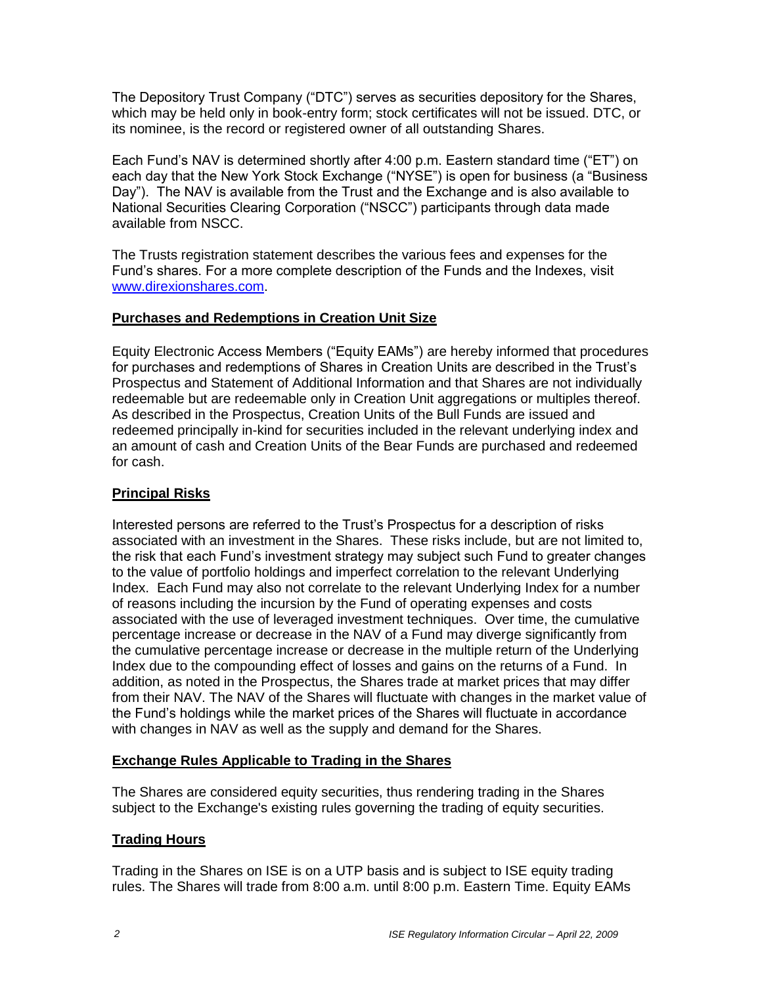The Depository Trust Company ("DTC") serves as securities depository for the Shares, which may be held only in book-entry form; stock certificates will not be issued. DTC, or its nominee, is the record or registered owner of all outstanding Shares.

Each Fund's NAV is determined shortly after 4:00 p.m. Eastern standard time ("ET") on each day that the New York Stock Exchange ("NYSE") is open for business (a "Business Day"). The NAV is available from the Trust and the Exchange and is also available to National Securities Clearing Corporation ("NSCC") participants through data made available from NSCC.

The Trusts registration statement describes the various fees and expenses for the Fund's shares. For a more complete description of the Funds and the Indexes, visit [www.direxionshares.com.](http://www.direxionshares.com/)

#### **Purchases and Redemptions in Creation Unit Size**

Equity Electronic Access Members ("Equity EAMs") are hereby informed that procedures for purchases and redemptions of Shares in Creation Units are described in the Trust's Prospectus and Statement of Additional Information and that Shares are not individually redeemable but are redeemable only in Creation Unit aggregations or multiples thereof. As described in the Prospectus, Creation Units of the Bull Funds are issued and redeemed principally in-kind for securities included in the relevant underlying index and an amount of cash and Creation Units of the Bear Funds are purchased and redeemed for cash.

## **Principal Risks**

Interested persons are referred to the Trust's Prospectus for a description of risks associated with an investment in the Shares. These risks include, but are not limited to, the risk that each Fund's investment strategy may subject such Fund to greater changes to the value of portfolio holdings and imperfect correlation to the relevant Underlying Index. Each Fund may also not correlate to the relevant Underlying Index for a number of reasons including the incursion by the Fund of operating expenses and costs associated with the use of leveraged investment techniques. Over time, the cumulative percentage increase or decrease in the NAV of a Fund may diverge significantly from the cumulative percentage increase or decrease in the multiple return of the Underlying Index due to the compounding effect of losses and gains on the returns of a Fund. In addition, as noted in the Prospectus, the Shares trade at market prices that may differ from their NAV. The NAV of the Shares will fluctuate with changes in the market value of the Fund's holdings while the market prices of the Shares will fluctuate in accordance with changes in NAV as well as the supply and demand for the Shares.

# **Exchange Rules Applicable to Trading in the Shares**

The Shares are considered equity securities, thus rendering trading in the Shares subject to the Exchange's existing rules governing the trading of equity securities.

# **Trading Hours**

Trading in the Shares on ISE is on a UTP basis and is subject to ISE equity trading rules. The Shares will trade from 8:00 a.m. until 8:00 p.m. Eastern Time. Equity EAMs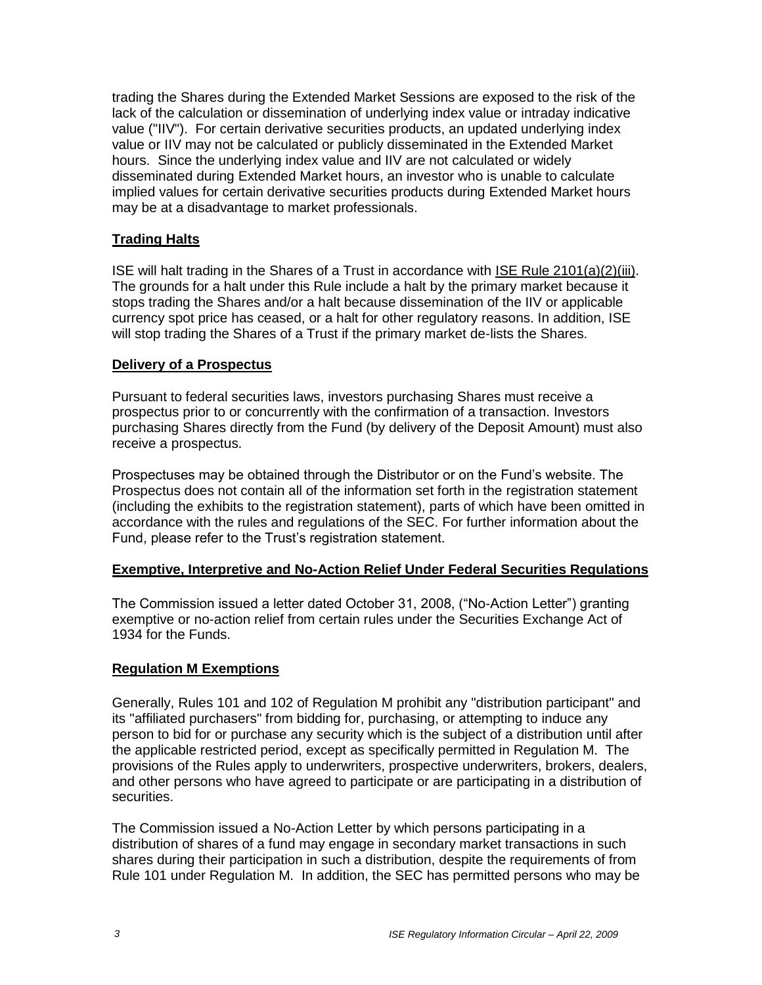trading the Shares during the Extended Market Sessions are exposed to the risk of the lack of the calculation or dissemination of underlying index value or intraday indicative value ("IIV"). For certain derivative securities products, an updated underlying index value or IIV may not be calculated or publicly disseminated in the Extended Market hours. Since the underlying index value and IIV are not calculated or widely disseminated during Extended Market hours, an investor who is unable to calculate implied values for certain derivative securities products during Extended Market hours may be at a disadvantage to market professionals.

## **Trading Halts**

ISE will halt trading in the Shares of a Trust in accordance with ISE Rule 2101(a)(2)(iii). The grounds for a halt under this Rule include a halt by the primary market because it stops trading the Shares and/or a halt because dissemination of the IIV or applicable currency spot price has ceased, or a halt for other regulatory reasons. In addition, ISE will stop trading the Shares of a Trust if the primary market de-lists the Shares.

#### **Delivery of a Prospectus**

Pursuant to federal securities laws, investors purchasing Shares must receive a prospectus prior to or concurrently with the confirmation of a transaction. Investors purchasing Shares directly from the Fund (by delivery of the Deposit Amount) must also receive a prospectus.

Prospectuses may be obtained through the Distributor or on the Fund's website. The Prospectus does not contain all of the information set forth in the registration statement (including the exhibits to the registration statement), parts of which have been omitted in accordance with the rules and regulations of the SEC. For further information about the Fund, please refer to the Trust's registration statement.

#### **Exemptive, Interpretive and No-Action Relief Under Federal Securities Regulations**

The Commission issued a letter dated October 31, 2008, ("No-Action Letter") granting exemptive or no-action relief from certain rules under the Securities Exchange Act of 1934 for the Funds.

#### **Regulation M Exemptions**

Generally, Rules 101 and 102 of Regulation M prohibit any "distribution participant" and its "affiliated purchasers" from bidding for, purchasing, or attempting to induce any person to bid for or purchase any security which is the subject of a distribution until after the applicable restricted period, except as specifically permitted in Regulation M. The provisions of the Rules apply to underwriters, prospective underwriters, brokers, dealers, and other persons who have agreed to participate or are participating in a distribution of securities.

The Commission issued a No-Action Letter by which persons participating in a distribution of shares of a fund may engage in secondary market transactions in such shares during their participation in such a distribution, despite the requirements of from Rule 101 under Regulation M. In addition, the SEC has permitted persons who may be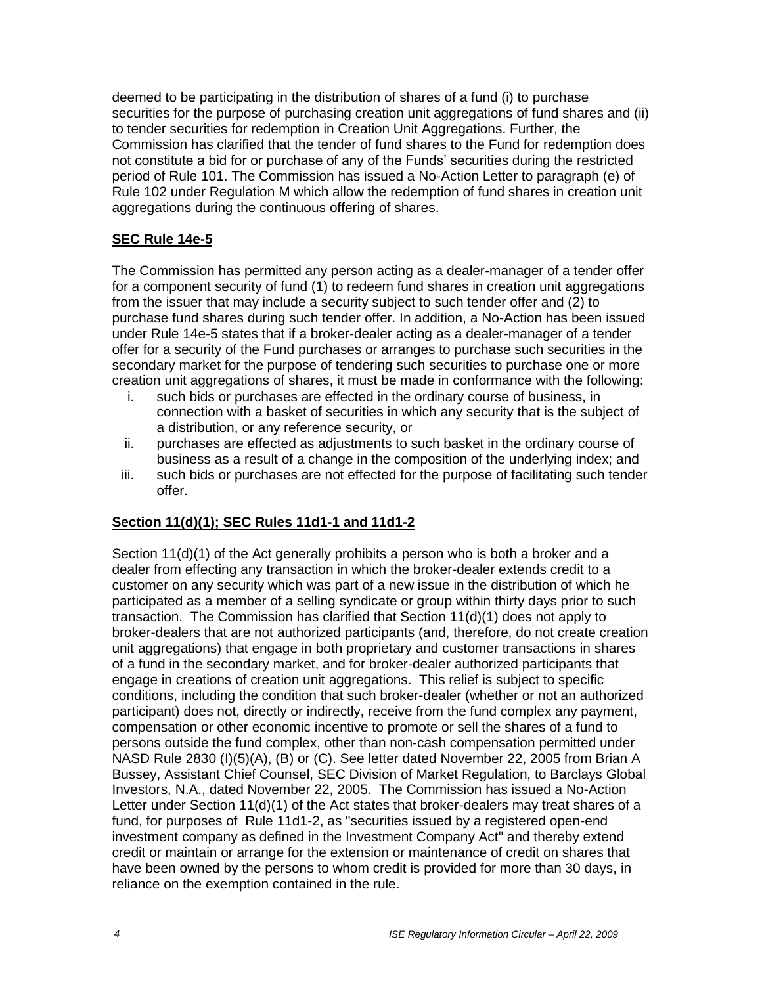deemed to be participating in the distribution of shares of a fund (i) to purchase securities for the purpose of purchasing creation unit aggregations of fund shares and (ii) to tender securities for redemption in Creation Unit Aggregations. Further, the Commission has clarified that the tender of fund shares to the Fund for redemption does not constitute a bid for or purchase of any of the Funds' securities during the restricted period of Rule 101. The Commission has issued a No-Action Letter to paragraph (e) of Rule 102 under Regulation M which allow the redemption of fund shares in creation unit aggregations during the continuous offering of shares.

## **SEC Rule 14e-5**

The Commission has permitted any person acting as a dealer-manager of a tender offer for a component security of fund (1) to redeem fund shares in creation unit aggregations from the issuer that may include a security subject to such tender offer and (2) to purchase fund shares during such tender offer. In addition, a No-Action has been issued under Rule 14e-5 states that if a broker-dealer acting as a dealer-manager of a tender offer for a security of the Fund purchases or arranges to purchase such securities in the secondary market for the purpose of tendering such securities to purchase one or more creation unit aggregations of shares, it must be made in conformance with the following:

- i. such bids or purchases are effected in the ordinary course of business, in connection with a basket of securities in which any security that is the subject of a distribution, or any reference security, or
- ii. purchases are effected as adjustments to such basket in the ordinary course of business as a result of a change in the composition of the underlying index; and
- iii. such bids or purchases are not effected for the purpose of facilitating such tender offer.

# **Section 11(d)(1); SEC Rules 11d1-1 and 11d1-2**

Section 11(d)(1) of the Act generally prohibits a person who is both a broker and a dealer from effecting any transaction in which the broker-dealer extends credit to a customer on any security which was part of a new issue in the distribution of which he participated as a member of a selling syndicate or group within thirty days prior to such transaction. The Commission has clarified that Section 11(d)(1) does not apply to broker-dealers that are not authorized participants (and, therefore, do not create creation unit aggregations) that engage in both proprietary and customer transactions in shares of a fund in the secondary market, and for broker-dealer authorized participants that engage in creations of creation unit aggregations. This relief is subject to specific conditions, including the condition that such broker-dealer (whether or not an authorized participant) does not, directly or indirectly, receive from the fund complex any payment, compensation or other economic incentive to promote or sell the shares of a fund to persons outside the fund complex, other than non-cash compensation permitted under NASD Rule 2830 (I)(5)(A), (B) or (C). See letter dated November 22, 2005 from Brian A Bussey, Assistant Chief Counsel, SEC Division of Market Regulation, to Barclays Global Investors, N.A., dated November 22, 2005. The Commission has issued a No-Action Letter under Section 11(d)(1) of the Act states that broker-dealers may treat shares of a fund, for purposes of Rule 11d1-2, as "securities issued by a registered open-end investment company as defined in the Investment Company Act" and thereby extend credit or maintain or arrange for the extension or maintenance of credit on shares that have been owned by the persons to whom credit is provided for more than 30 days, in reliance on the exemption contained in the rule.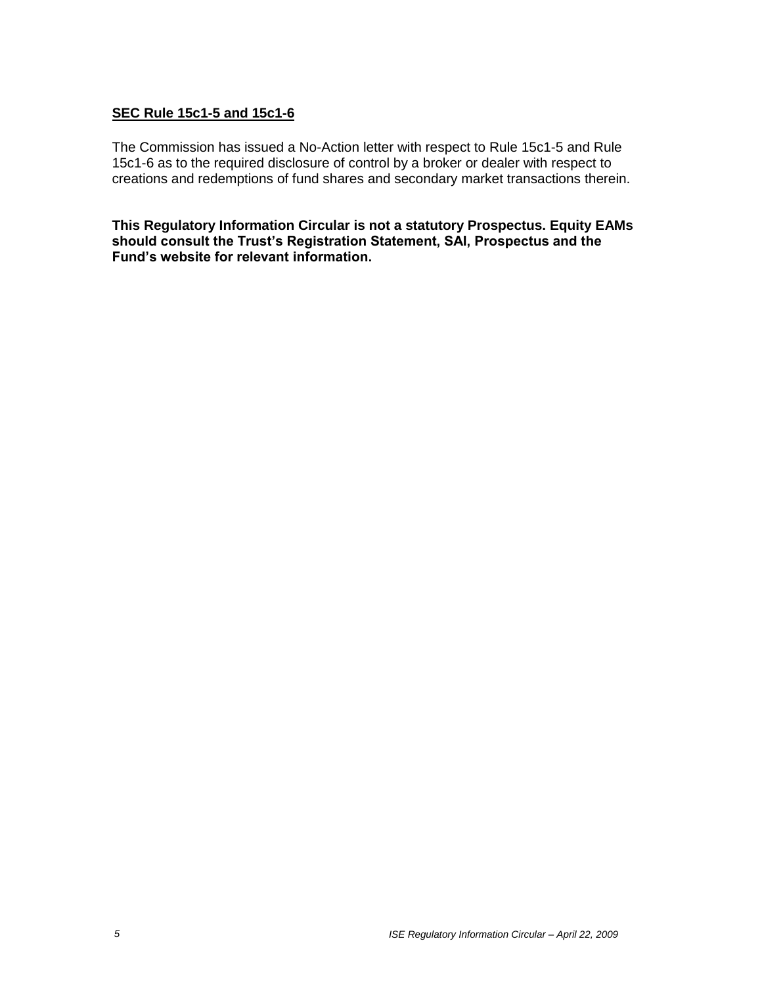## **SEC Rule 15c1-5 and 15c1-6**

The Commission has issued a No-Action letter with respect to Rule 15c1-5 and Rule 15c1-6 as to the required disclosure of control by a broker or dealer with respect to creations and redemptions of fund shares and secondary market transactions therein.

**This Regulatory Information Circular is not a statutory Prospectus. Equity EAMs should consult the Trust's Registration Statement, SAI, Prospectus and the Fund's website for relevant information.**